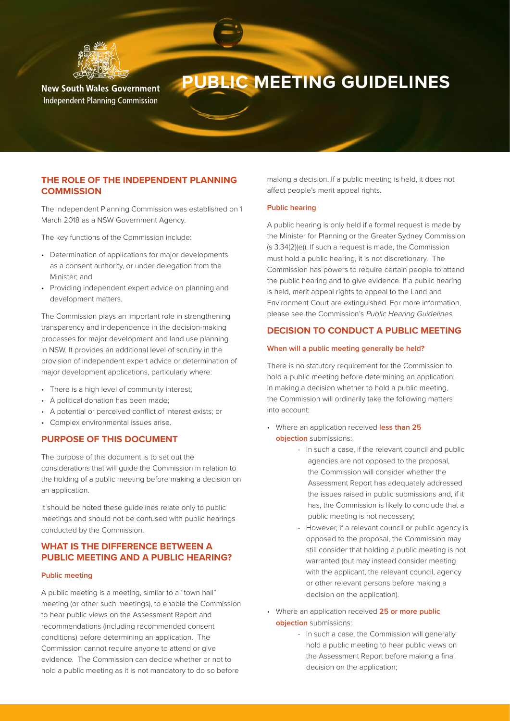

# **PUBLIC MEETING GUIDELINES**

**New South Wales Government Independent Planning Commission** 

# **THE ROLE OF THE INDEPENDENT PLANNING COMMISSION**

The Independent Planning Commission was established on 1 March 2018 as a NSW Government Agency.

The key functions of the Commission include:

- Determination of applications for major developments as a consent authority, or under delegation from the Minister; and
- Providing independent expert advice on planning and development matters.

The Commission plays an important role in strengthening transparency and independence in the decision-making processes for major development and land use planning in NSW. It provides an additional level of scrutiny in the provision of independent expert advice or determination of major development applications, particularly where:

- There is a high level of community interest;
- A political donation has been made;
- A potential or perceived conflict of interest exists; or
- Complex environmental issues arise.

## **PURPOSE OF THIS DOCUMENT**

The purpose of this document is to set out the considerations that will guide the Commission in relation to the holding of a public meeting before making a decision on an application.

It should be noted these guidelines relate only to public meetings and should not be confused with public hearings conducted by the Commission.

# **WHAT IS THE DIFFERENCE BETWEEN A PUBLIC MEETING AND A PUBLIC HEARING?**

## **Public meeting**

A public meeting is a meeting, similar to a "town hall" meeting (or other such meetings), to enable the Commission to hear public views on the Assessment Report and recommendations (including recommended consent conditions) before determining an application. The Commission cannot require anyone to attend or give evidence. The Commission can decide whether or not to hold a public meeting as it is not mandatory to do so before

making a decision. If a public meeting is held, it does not affect people's merit appeal rights.

## **Public hearing**

A public hearing is only held if a formal request is made by the Minister for Planning or the Greater Sydney Commission (s 3.34(2)(e)). If such a request is made, the Commission must hold a public hearing, it is not discretionary. The Commission has powers to require certain people to attend the public hearing and to give evidence. If a public hearing is held, merit appeal rights to appeal to the Land and Environment Court are extinguished. For more information, please see the Commission's Public Hearing Guidelines.

## **DECISION TO CONDUCT A PUBLIC MEETING**

#### **When will a public meeting generally be held?**

There is no statutory requirement for the Commission to hold a public meeting before determining an application. In making a decision whether to hold a public meeting, the Commission will ordinarily take the following matters into account:

- Where an application received **less than 25 objection** submissions:
	- In such a case, if the relevant council and public agencies are not opposed to the proposal, the Commission will consider whether the Assessment Report has adequately addressed the issues raised in public submissions and, if it has, the Commission is likely to conclude that a public meeting is not necessary;
	- However, if a relevant council or public agency is opposed to the proposal, the Commission may still consider that holding a public meeting is not warranted (but may instead consider meeting with the applicant, the relevant council, agency or other relevant persons before making a decision on the application).
- Where an application received **25 or more public objection** submissions:
	- In such a case, the Commission will generally hold a public meeting to hear public views on the Assessment Report before making a final decision on the application;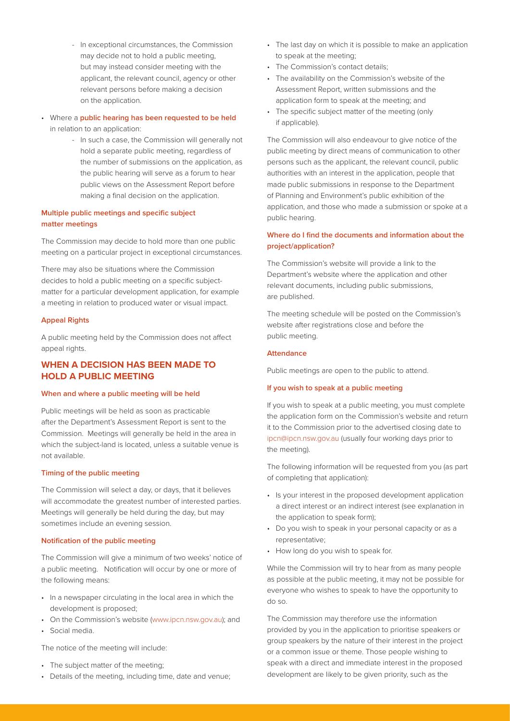- In exceptional circumstances, the Commission may decide not to hold a public meeting, but may instead consider meeting with the applicant, the relevant council, agency or other relevant persons before making a decision on the application.
- Where a **public hearing has been requested to be held** in relation to an application:
	- In such a case, the Commission will generally not hold a separate public meeting, regardless of the number of submissions on the application, as the public hearing will serve as a forum to hear public views on the Assessment Report before making a final decision on the application.

## **Multiple public meetings and specific subject matter meetings**

The Commission may decide to hold more than one public meeting on a particular project in exceptional circumstances.

There may also be situations where the Commission decides to hold a public meeting on a specific subjectmatter for a particular development application, for example a meeting in relation to produced water or visual impact.

#### **Appeal Rights**

A public meeting held by the Commission does not affect appeal rights.

# **WHEN A DECISION HAS BEEN MADE TO HOLD A PUBLIC MEETING**

#### **When and where a public meeting will be held**

Public meetings will be held as soon as practicable after the Department's Assessment Report is sent to the Commission. Meetings will generally be held in the area in which the subject-land is located, unless a suitable venue is not available.

## **Timing of the public meeting**

The Commission will select a day, or days, that it believes will accommodate the greatest number of interested parties. Meetings will generally be held during the day, but may sometimes include an evening session.

## **Notification of the public meeting**

The Commission will give a minimum of two weeks' notice of a public meeting. Notification will occur by one or more of the following means:

- In a newspaper circulating in the local area in which the development is proposed;
- On the Commission's website (www.ipcn.nsw.gov.au); and
- Social media.

The notice of the meeting will include:

- The subject matter of the meeting;
- Details of the meeting, including time, date and venue;
- The last day on which it is possible to make an application to speak at the meeting;
- The Commission's contact details;
- The availability on the Commission's website of the Assessment Report, written submissions and the application form to speak at the meeting; and
- The specific subject matter of the meeting (only if applicable).

The Commission will also endeavour to give notice of the public meeting by direct means of communication to other persons such as the applicant, the relevant council, public authorities with an interest in the application, people that made public submissions in response to the Department of Planning and Environment's public exhibition of the application, and those who made a submission or spoke at a public hearing.

## **Where do I find the documents and information about the project/application?**

The Commission's website will provide a link to the Department's website where the application and other relevant documents, including public submissions, are published.

The meeting schedule will be posted on the Commission's website after registrations close and before the public meeting.

#### **Attendance**

Public meetings are open to the public to attend.

#### **If you wish to speak at a public meeting**

If you wish to speak at a public meeting, you must complete the application form on the Commission's website and return it to the Commission prior to the advertised closing date to ipcn@ipcn.nsw.gov.au (usually four working days prior to the meeting).

The following information will be requested from you (as part of completing that application):

- Is your interest in the proposed development application a direct interest or an indirect interest (see explanation in the application to speak form);
- Do you wish to speak in your personal capacity or as a representative;
- How long do you wish to speak for.

While the Commission will try to hear from as many people as possible at the public meeting, it may not be possible for everyone who wishes to speak to have the opportunity to do so.

The Commission may therefore use the information provided by you in the application to prioritise speakers or group speakers by the nature of their interest in the project or a common issue or theme. Those people wishing to speak with a direct and immediate interest in the proposed development are likely to be given priority, such as the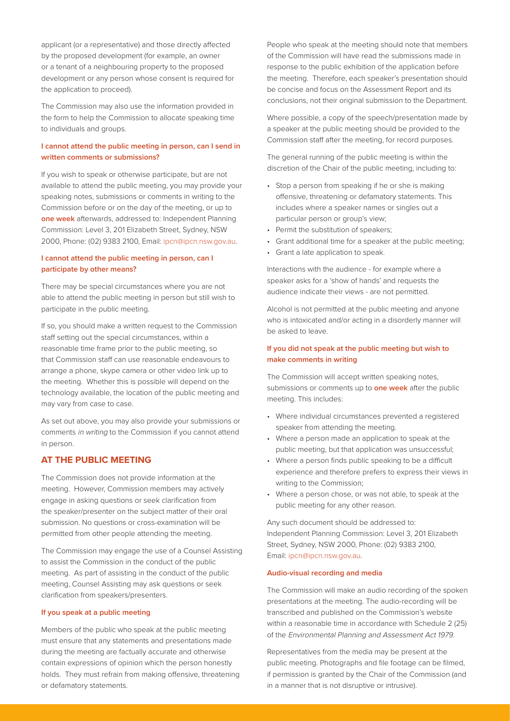applicant (or a representative) and those directly affected by the proposed development (for example, an owner or a tenant of a neighbouring property to the proposed development or any person whose consent is required for the application to proceed).

The Commission may also use the information provided in the form to help the Commission to allocate speaking time to individuals and groups.

## **I cannot attend the public meeting in person, can I send in written comments or submissions?**

If you wish to speak or otherwise participate, but are not available to attend the public meeting, you may provide your speaking notes, submissions or comments in writing to the Commission before or on the day of the meeting, or up to **one week** afterwards, addressed to: Independent Planning Commission: Level 3, 201 Elizabeth Street, Sydney, NSW 2000, Phone: (02) 9383 2100, Email: ipcn@ipcn.nsw.gov.au.

## **I cannot attend the public meeting in person, can I participate by other means?**

There may be special circumstances where you are not able to attend the public meeting in person but still wish to participate in the public meeting.

If so, you should make a written request to the Commission staff setting out the special circumstances, within a reasonable time frame prior to the public meeting, so that Commission staff can use reasonable endeavours to arrange a phone, skype camera or other video link up to the meeting. Whether this is possible will depend on the technology available, the location of the public meeting and may vary from case to case.

As set out above, you may also provide your submissions or comments in writing to the Commission if you cannot attend in person.

# **AT THE PUBLIC MEETING**

The Commission does not provide information at the meeting. However, Commission members may actively engage in asking questions or seek clarification from the speaker/presenter on the subject matter of their oral submission. No questions or cross-examination will be permitted from other people attending the meeting.

The Commission may engage the use of a Counsel Assisting to assist the Commission in the conduct of the public meeting. As part of assisting in the conduct of the public meeting, Counsel Assisting may ask questions or seek clarification from speakers/presenters.

## **If you speak at a public meeting**

Members of the public who speak at the public meeting must ensure that any statements and presentations made during the meeting are factually accurate and otherwise contain expressions of opinion which the person honestly holds. They must refrain from making offensive, threatening or defamatory statements.

People who speak at the meeting should note that members of the Commission will have read the submissions made in response to the public exhibition of the application before the meeting. Therefore, each speaker's presentation should be concise and focus on the Assessment Report and its conclusions, not their original submission to the Department.

Where possible, a copy of the speech/presentation made by a speaker at the public meeting should be provided to the Commission staff after the meeting, for record purposes.

The general running of the public meeting is within the discretion of the Chair of the public meeting, including to:

- Stop a person from speaking if he or she is making offensive, threatening or defamatory statements. This includes where a speaker names or singles out a particular person or group's view;
- Permit the substitution of speakers;
- Grant additional time for a speaker at the public meeting;
- Grant a late application to speak.

Interactions with the audience - for example where a speaker asks for a 'show of hands' and requests the audience indicate their views - are not permitted.

Alcohol is not permitted at the public meeting and anyone who is intoxicated and/or acting in a disorderly manner will be asked to leave.

## **If you did not speak at the public meeting but wish to make comments in writing**

The Commission will accept written speaking notes, submissions or comments up to **one week** after the public meeting. This includes:

- Where individual circumstances prevented a registered speaker from attending the meeting.
- Where a person made an application to speak at the public meeting, but that application was unsuccessful;
- Where a person finds public speaking to be a difficult experience and therefore prefers to express their views in writing to the Commission;
- Where a person chose, or was not able, to speak at the public meeting for any other reason.

Any such document should be addressed to: Independent Planning Commission: Level 3, 201 Elizabeth Street, Sydney, NSW 2000, Phone: (02) 9383 2100, Email: ipcn@ipcn.nsw.gov.au.

#### **Audio-visual recording and media**

The Commission will make an audio recording of the spoken presentations at the meeting. The audio-recording will be transcribed and published on the Commission's website within a reasonable time in accordance with Schedule 2 (25) of the Environmental Planning and Assessment Act 1979.

Representatives from the media may be present at the public meeting. Photographs and file footage can be filmed, if permission is granted by the Chair of the Commission (and in a manner that is not disruptive or intrusive).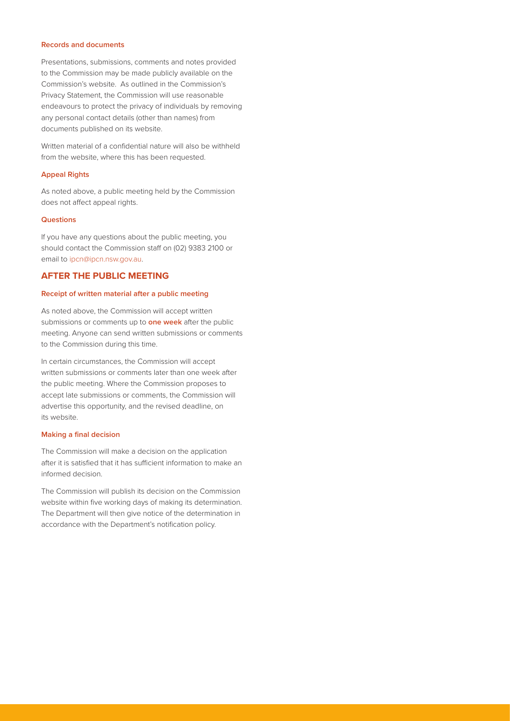#### **Records and documents**

Presentations, submissions, comments and notes provided to the Commission may be made publicly available on the Commission's website. As outlined in the Commission's Privacy Statement, the Commission will use reasonable endeavours to protect the privacy of individuals by removing any personal contact details (other than names) from documents published on its website.

Written material of a confidential nature will also be withheld from the website, where this has been requested.

## **Appeal Rights**

As noted above, a public meeting held by the Commission does not affect appeal rights.

## **Questions**

If you have any questions about the public meeting, you should contact the Commission staff on (02) 9383 2100 or email to ipcn@ipcn.nsw.gov.au.

## **AFTER THE PUBLIC MEETING**

#### **Receipt of written material after a public meeting**

As noted above, the Commission will accept written submissions or comments up to **one week** after the public meeting. Anyone can send written submissions or comments to the Commission during this time.

In certain circumstances, the Commission will accept written submissions or comments later than one week after the public meeting. Where the Commission proposes to accept late submissions or comments, the Commission will advertise this opportunity, and the revised deadline, on its website.

#### **Making a final decision**

The Commission will make a decision on the application after it is satisfied that it has sufficient information to make an informed decision.

The Commission will publish its decision on the Commission website within five working days of making its determination. The Department will then give notice of the determination in accordance with the Department's notification policy.